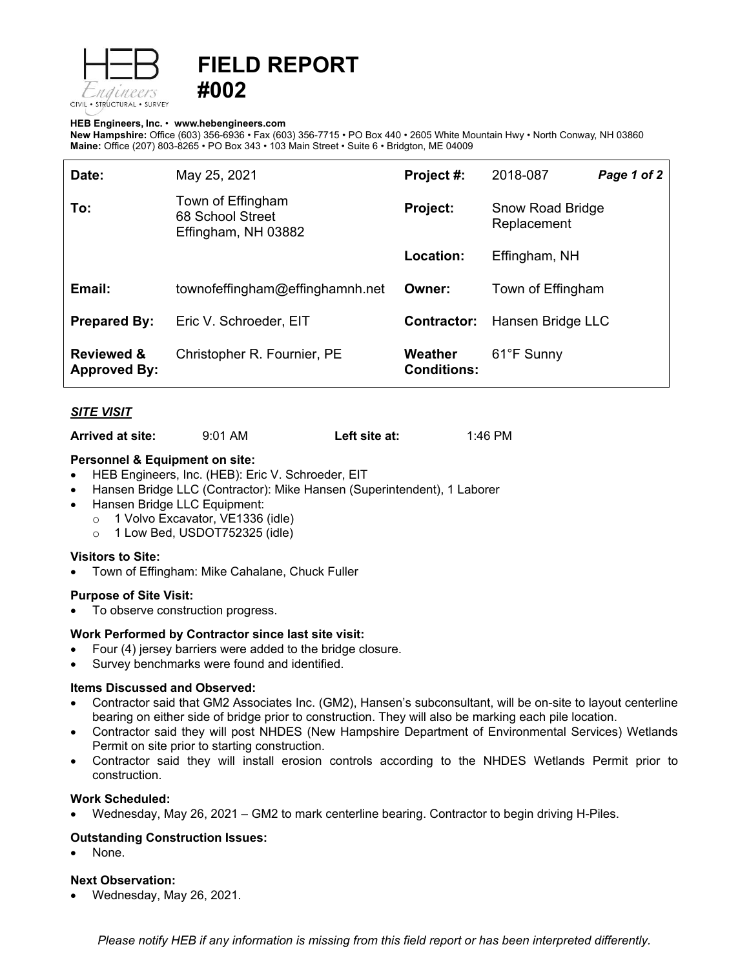

# **FIELD REPORT #002**

#### **HEB Engineers, Inc.** • **[www.hebengineer](http://www.hebengineers.com/)s.com**

**New Hampshire:** Office (603) 356-6936 • Fax (603) 356-7715 • PO Box 440 • 2605 White Mountain Hwy • North Conway, NH 03860 **Maine:** Office (207) 803-8265 • PO Box 343 • 103 Main Street • Suite 6 • Bridgton, ME 04009

| Date:                                        | May 25, 2021                                                 | Project #:                    | 2018-087                        | Page 1 of 2 |
|----------------------------------------------|--------------------------------------------------------------|-------------------------------|---------------------------------|-------------|
| To:                                          | Town of Effingham<br>68 School Street<br>Effingham, NH 03882 | Project:                      | Snow Road Bridge<br>Replacement |             |
|                                              |                                                              | Location:                     | Effingham, NH                   |             |
| Email:                                       | townofeffingham@effinghamnh.net                              | Owner:                        | Town of Effingham               |             |
| <b>Prepared By:</b>                          | Eric V. Schroeder, EIT                                       | Contractor:                   | Hansen Bridge LLC               |             |
| <b>Reviewed &amp;</b><br><b>Approved By:</b> | Christopher R. Fournier, PE                                  | Weather<br><b>Conditions:</b> | 61°F Sunny                      |             |

## *SITE VISIT*

**Arrived at site:** 9:01 AM **Left site at:** 1:46 PM

#### **Personnel & Equipment on site:**

- HEB Engineers, Inc. (HEB): Eric V. Schroeder, EIT
- Hansen Bridge LLC (Contractor): Mike Hansen (Superintendent), 1 Laborer
- Hansen Bridge LLC Equipment:
	- o 1 Volvo Excavator, VE1336 (idle)
	- o 1 Low Bed, USDOT752325 (idle)

## **Visitors to Site:**

• Town of Effingham: Mike Cahalane, Chuck Fuller

#### **Purpose of Site Visit:**

To observe construction progress.

## **Work Performed by Contractor since last site visit:**

- Four (4) jersey barriers were added to the bridge closure.
- Survey benchmarks were found and identified.

## **Items Discussed and Observed:**

- Contractor said that GM2 Associates Inc. (GM2), Hansen's subconsultant, will be on-site to layout centerline bearing on either side of bridge prior to construction. They will also be marking each pile location.
- Contractor said they will post NHDES (New Hampshire Department of Environmental Services) Wetlands Permit on site prior to starting construction.
- Contractor said they will install erosion controls according to the NHDES Wetlands Permit prior to construction.

## **Work Scheduled:**

• Wednesday, May 26, 2021 – GM2 to mark centerline bearing. Contractor to begin driving H-Piles.

## **Outstanding Construction Issues:**

None.

## **Next Observation:**

• Wednesday, May 26, 2021.

*Please notify HEB if any information is missing from this field report or has been interpreted differently.*